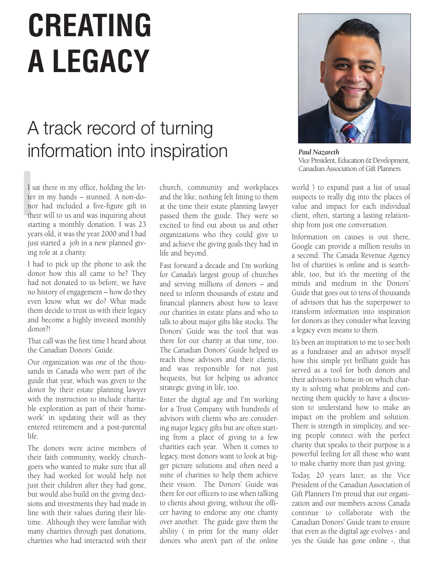## **CREATING A LEGACY**

## A track record of turning information into inspiration

I s<br>ten<br>no<br>the I sat there in my office, holding the letter in my hands – stunned. A non-donor had included a five-figure gift in their will to us and was inquiring about starting a monthly donation. I was 23 years old, it was the year 2000 and I had just started a job in a new planned giving role at a charity.

I had to pick up the phone to ask the donor how this all came to be? They had not donated to us before, we have no history of engagement – how do they even know what we do? What made them decide to trust us with their legacy and become a highly invested monthly donor?!

That call was the first time I heard about the Canadian Donors' Guide.

Our organization was one of the thousands in Canada who were part of the guide that year, which was given to the donor by their estate planning lawyer with the instruction to include charitable exploration as part of their 'homework' in updating their will as they entered retirement and a post-parental life.

The donors were active members of their faith community, weekly churchgoers who wanted to make sure that all they had worked for would help not just their children after they had gone, but would also build on the giving decisions and investments they had made in line with their values during their lifetime. Although they were familiar with many charities through past donations, charities who had interacted with their

church, community and workplaces and the like, nothing felt fitting to them at the time their estate planning lawyer passed them the guide. They were so excited to find out about us and other organizations who they could give to and achieve the giving goals they had in life and beyond.

Fast forward a decade and I'm working for Canada's largest group of churches and serving millions of donors – and need to inform thousands of estate and financial planners about how to leave our charities in estate plans and who to talk to about major gifts like stocks. The Donors' Guide was the tool that was there for our charity at that time, too. The Canadian Donors' Guide helped us reach those advisors and their clients, and was responsible for not just bequests, but for helping us advance strategic giving in life, too.

Enter the digital age and I'm working for a Trust Company with hundreds of advisors with clients who are considering major legacy gifts but are often starting from a place of giving to a few charities each year. When it comes to legacy, most donors want to look at bigger picture solutions and often need a suite of charities to help them achieve their vision. The Donors' Guide was there for our officers to use when talking to clients about giving, without the officer having to endorse any one charity over another. The guide gave them the ability ( in print for the many older donors who aren't part of the online



*Paul Nazareth*  Vice President, Education & Development, Canadian Association of Gift Planners

world ) to expand past a list of usual suspects to really dig into the places of value and impact for each individual client, often, starting a lasting relationship from just one conversation.

Information on causes is out there, Google can provide a million results in a second. The Canada Revenue Agency list of charities is online and is searchable, too, but it's the meeting of the minds and medium in the Donors' Guide that goes out to tens of thousands of advisors that has the superpower to transform information into inspiration for donors as they consider what leaving a legacy even means to them.

It's been an inspiration to me to see both as a fundraiser and an advisor myself how this simple yet brilliant guide has served as a tool for both donors and their advisors to hone in on which charity is solving what problems and connecting them quickly to have a discussion to understand how to make an impact on the problem and solution. There is strength in simplicity, and seeing people connect with the perfect charity that speaks to their purpose is a powerful feeling for all those who want to make charity more than just giving.

Today, 20 years later, as the Vice President of the Canadian Association of Gift Planners I'm proud that our organization and our members across Canada continue to collaborate with the Canadian Donors' Guide team to ensure that even as the digital age evolves - and yes the Guide has gone online -, that